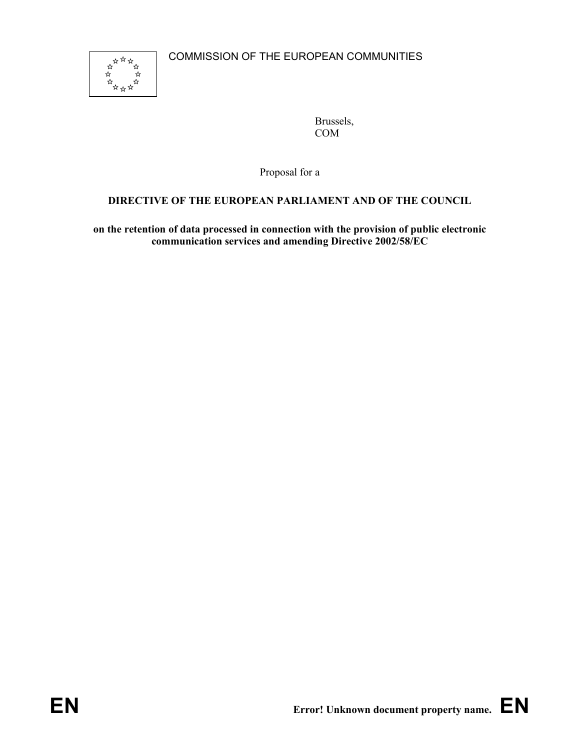

Brussels, COM

Proposal for a

# **DIRECTIVE OF THE EUROPEAN PARLIAMENT AND OF THE COUNCIL**

**on the retention of data processed in connection with the provision of public electronic communication services and amending Directive 2002/58/EC**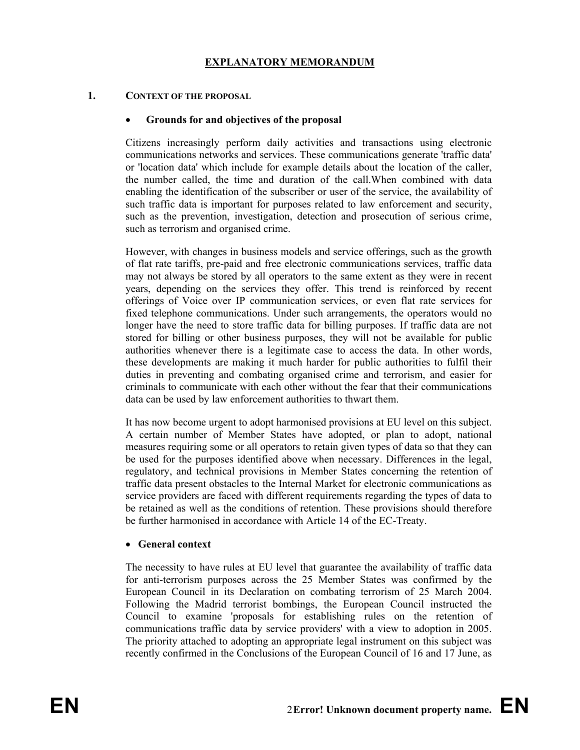# **EXPLANATORY MEMORANDUM**

#### **1. CONTEXT OF THE PROPOSAL**

#### • **110Grounds for and objectives of the proposal**

Citizens increasingly perform daily activities and transactions using electronic communications networks and services. These communications generate 'traffic data' or 'location data' which include for example details about the location of the caller, the number called, the time and duration of the call.When combined with data enabling the identification of the subscriber or user of the service, the availability of such traffic data is important for purposes related to law enforcement and security, such as the prevention, investigation, detection and prosecution of serious crime, such as terrorism and organised crime.

However, with changes in business models and service offerings, such as the growth of flat rate tariffs, pre-paid and free electronic communications services, traffic data may not always be stored by all operators to the same extent as they were in recent years, depending on the services they offer. This trend is reinforced by recent offerings of Voice over IP communication services, or even flat rate services for fixed telephone communications. Under such arrangements, the operators would no longer have the need to store traffic data for billing purposes. If traffic data are not stored for billing or other business purposes, they will not be available for public authorities whenever there is a legitimate case to access the data. In other words, these developments are making it much harder for public authorities to fulfil their duties in preventing and combating organised crime and terrorism, and easier for criminals to communicate with each other without the fear that their communications data can be used by law enforcement authorities to thwart them.

It has now become urgent to adopt harmonised provisions at EU level on this subject. A certain number of Member States have adopted, or plan to adopt, national measures requiring some or all operators to retain given types of data so that they can be used for the purposes identified above when necessary. Differences in the legal, regulatory, and technical provisions in Member States concerning the retention of traffic data present obstacles to the Internal Market for electronic communications as service providers are faced with different requirements regarding the types of data to be retained as well as the conditions of retention. These provisions should therefore be further harmonised in accordance with Article 14 of the EC-Treaty.

#### • **General context**

The necessity to have rules at EU level that guarantee the availability of traffic data for anti-terrorism purposes across the 25 Member States was confirmed by the European Council in its Declaration on combating terrorism of 25 March 2004. Following the Madrid terrorist bombings, the European Council instructed the Council to examine 'proposals for establishing rules on the retention of communications traffic data by service providers' with a view to adoption in 2005. The priority attached to adopting an appropriate legal instrument on this subject was recently confirmed in the Conclusions of the European Council of 16 and 17 June, as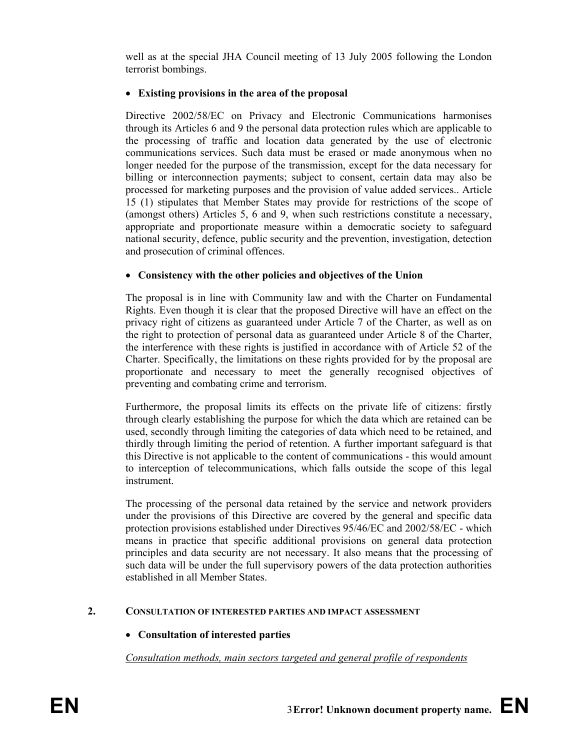well as at the special JHA Council meeting of 13 July 2005 following the London terrorist bombings.

## • **Existing provisions in the area of the proposal**

Directive 2002/58/EC on Privacy and Electronic Communications harmonises through its Articles 6 and 9 the personal data protection rules which are applicable to the processing of traffic and location data generated by the use of electronic communications services. Such data must be erased or made anonymous when no longer needed for the purpose of the transmission, except for the data necessary for billing or interconnection payments; subject to consent, certain data may also be processed for marketing purposes and the provision of value added services.. Article 15 (1) stipulates that Member States may provide for restrictions of the scope of (amongst others) Articles 5, 6 and 9, when such restrictions constitute a necessary, appropriate and proportionate measure within a democratic society to safeguard national security, defence, public security and the prevention, investigation, detection and prosecution of criminal offences.

### • **Consistency with the other policies and objectives of the Union**

The proposal is in line with Community law and with the Charter on Fundamental Rights. Even though it is clear that the proposed Directive will have an effect on the privacy right of citizens as guaranteed under Article 7 of the Charter, as well as on the right to protection of personal data as guaranteed under Article 8 of the Charter, the interference with these rights is justified in accordance with of Article 52 of the Charter. Specifically, the limitations on these rights provided for by the proposal are proportionate and necessary to meet the generally recognised objectives of preventing and combating crime and terrorism.

Furthermore, the proposal limits its effects on the private life of citizens: firstly through clearly establishing the purpose for which the data which are retained can be used, secondly through limiting the categories of data which need to be retained, and thirdly through limiting the period of retention. A further important safeguard is that this Directive is not applicable to the content of communications - this would amount to interception of telecommunications, which falls outside the scope of this legal instrument.

The processing of the personal data retained by the service and network providers under the provisions of this Directive are covered by the general and specific data protection provisions established under Directives 95/46/EC and 2002/58/EC - which means in practice that specific additional provisions on general data protection principles and data security are not necessary. It also means that the processing of such data will be under the full supervisory powers of the data protection authorities established in all Member States.

### **2. CONSULTATION OF INTERESTED PARTIES AND IMPACT ASSESSMENT**

# • **Consultation of interested parties**

*Consultation methods, main sectors targeted and general profile of respondents*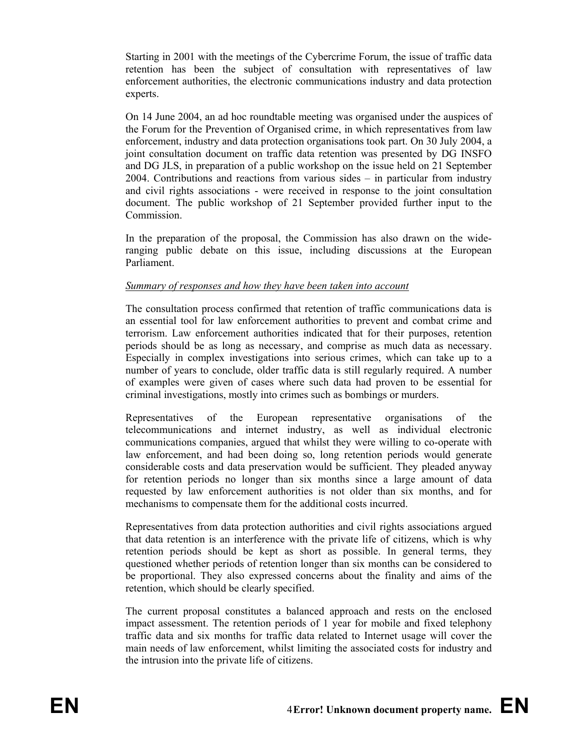Starting in 2001 with the meetings of the Cybercrime Forum, the issue of traffic data retention has been the subject of consultation with representatives of law enforcement authorities, the electronic communications industry and data protection experts.

On 14 June 2004, an ad hoc roundtable meeting was organised under the auspices of the Forum for the Prevention of Organised crime, in which representatives from law enforcement, industry and data protection organisations took part. On 30 July 2004, a joint consultation document on traffic data retention was presented by DG INSFO and DG JLS, in preparation of a public workshop on the issue held on 21 September 2004. Contributions and reactions from various sides – in particular from industry and civil rights associations - were received in response to the joint consultation document. The public workshop of 21 September provided further input to the Commission.

In the preparation of the proposal, the Commission has also drawn on the wideranging public debate on this issue, including discussions at the European Parliament.

### *Summary of responses and how they have been taken into account*

The consultation process confirmed that retention of traffic communications data is an essential tool for law enforcement authorities to prevent and combat crime and terrorism. Law enforcement authorities indicated that for their purposes, retention periods should be as long as necessary, and comprise as much data as necessary. Especially in complex investigations into serious crimes, which can take up to a number of years to conclude, older traffic data is still regularly required. A number of examples were given of cases where such data had proven to be essential for criminal investigations, mostly into crimes such as bombings or murders.

Representatives of the European representative organisations of the telecommunications and internet industry, as well as individual electronic communications companies, argued that whilst they were willing to co-operate with law enforcement, and had been doing so, long retention periods would generate considerable costs and data preservation would be sufficient. They pleaded anyway for retention periods no longer than six months since a large amount of data requested by law enforcement authorities is not older than six months, and for mechanisms to compensate them for the additional costs incurred.

Representatives from data protection authorities and civil rights associations argued that data retention is an interference with the private life of citizens, which is why retention periods should be kept as short as possible. In general terms, they questioned whether periods of retention longer than six months can be considered to be proportional. They also expressed concerns about the finality and aims of the retention, which should be clearly specified.

The current proposal constitutes a balanced approach and rests on the enclosed impact assessment. The retention periods of 1 year for mobile and fixed telephony traffic data and six months for traffic data related to Internet usage will cover the main needs of law enforcement, whilst limiting the associated costs for industry and the intrusion into the private life of citizens.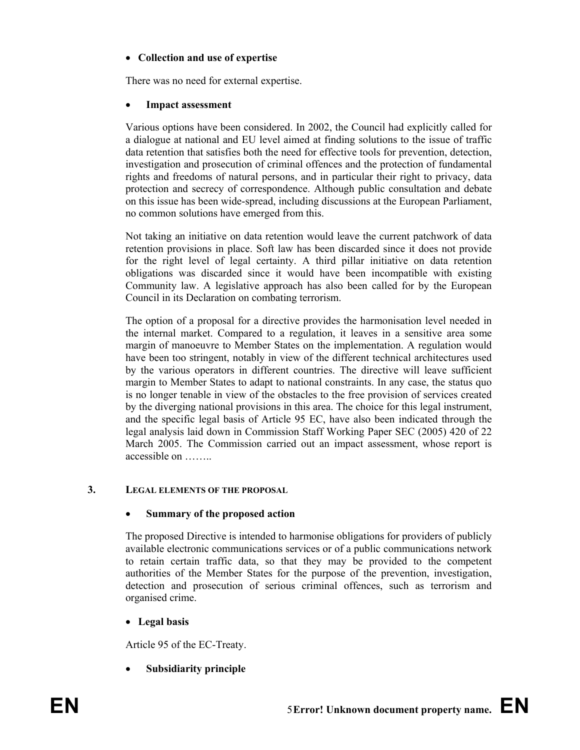# • **Collection and use of expertise**

There was no need for external expertise.

## **Impact assessment**

Various options have been considered. In 2002, the Council had explicitly called for a dialogue at national and EU level aimed at finding solutions to the issue of traffic data retention that satisfies both the need for effective tools for prevention, detection, investigation and prosecution of criminal offences and the protection of fundamental rights and freedoms of natural persons, and in particular their right to privacy, data protection and secrecy of correspondence. Although public consultation and debate on this issue has been wide-spread, including discussions at the European Parliament, no common solutions have emerged from this.

Not taking an initiative on data retention would leave the current patchwork of data retention provisions in place. Soft law has been discarded since it does not provide for the right level of legal certainty. A third pillar initiative on data retention obligations was discarded since it would have been incompatible with existing Community law. A legislative approach has also been called for by the European Council in its Declaration on combating terrorism.

The option of a proposal for a directive provides the harmonisation level needed in the internal market. Compared to a regulation, it leaves in a sensitive area some margin of manoeuvre to Member States on the implementation. A regulation would have been too stringent, notably in view of the different technical architectures used by the various operators in different countries. The directive will leave sufficient margin to Member States to adapt to national constraints. In any case, the status quo is no longer tenable in view of the obstacles to the free provision of services created by the diverging national provisions in this area. The choice for this legal instrument, and the specific legal basis of Article 95 EC, have also been indicated through the legal analysis laid down in Commission Staff Working Paper SEC (2005) 420 of 22 March 2005. The Commission carried out an impact assessment, whose report is accessible on ……..

### **3. LEGAL ELEMENTS OF THE PROPOSAL**

### • **305Summary of the proposed action**

The proposed Directive is intended to harmonise obligations for providers of publicly available electronic communications services or of a public communications network to retain certain traffic data, so that they may be provided to the competent authorities of the Member States for the purpose of the prevention, investigation, detection and prosecution of serious criminal offences, such as terrorism and organised crime.

# • **Legal basis**

Article 95 of the EC-Treaty.

• **320Subsidiarity principle**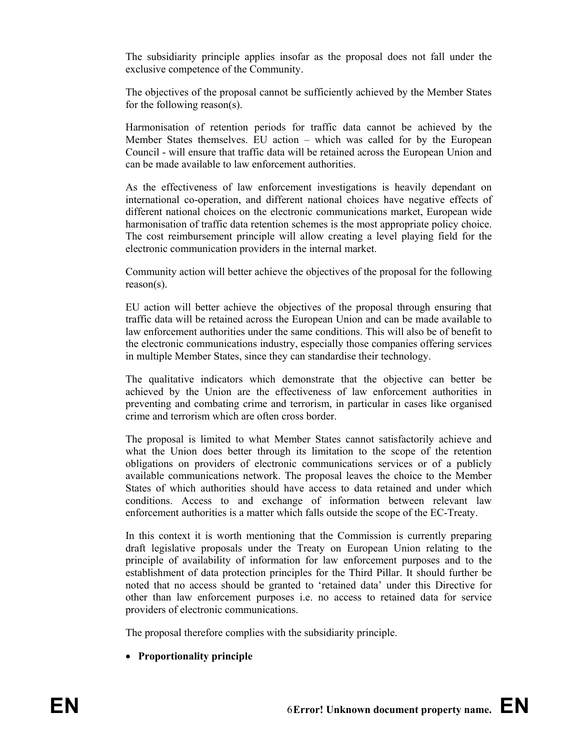The subsidiarity principle applies insofar as the proposal does not fall under the exclusive competence of the Community.

The objectives of the proposal cannot be sufficiently achieved by the Member States for the following reason(s).

Harmonisation of retention periods for traffic data cannot be achieved by the Member States themselves. EU action – which was called for by the European Council - will ensure that traffic data will be retained across the European Union and can be made available to law enforcement authorities.

As the effectiveness of law enforcement investigations is heavily dependant on international co-operation, and different national choices have negative effects of different national choices on the electronic communications market, European wide harmonisation of traffic data retention schemes is the most appropriate policy choice. The cost reimbursement principle will allow creating a level playing field for the electronic communication providers in the internal market.

Community action will better achieve the objectives of the proposal for the following reason(s).

EU action will better achieve the objectives of the proposal through ensuring that traffic data will be retained across the European Union and can be made available to law enforcement authorities under the same conditions. This will also be of benefit to the electronic communications industry, especially those companies offering services in multiple Member States, since they can standardise their technology.

The qualitative indicators which demonstrate that the objective can better be achieved by the Union are the effectiveness of law enforcement authorities in preventing and combating crime and terrorism, in particular in cases like organised crime and terrorism which are often cross border.

The proposal is limited to what Member States cannot satisfactorily achieve and what the Union does better through its limitation to the scope of the retention obligations on providers of electronic communications services or of a publicly available communications network. The proposal leaves the choice to the Member States of which authorities should have access to data retained and under which conditions. Access to and exchange of information between relevant law enforcement authorities is a matter which falls outside the scope of the EC-Treaty.

In this context it is worth mentioning that the Commission is currently preparing draft legislative proposals under the Treaty on European Union relating to the principle of availability of information for law enforcement purposes and to the establishment of data protection principles for the Third Pillar. It should further be noted that no access should be granted to 'retained data' under this Directive for other than law enforcement purposes i.e. no access to retained data for service providers of electronic communications.

The proposal therefore complies with the subsidiarity principle.

• **Proportionality principle**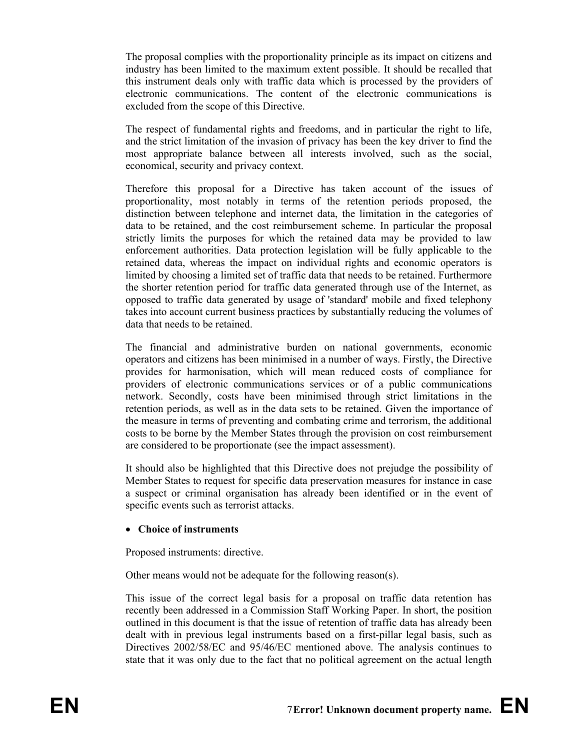The proposal complies with the proportionality principle as its impact on citizens and industry has been limited to the maximum extent possible. It should be recalled that this instrument deals only with traffic data which is processed by the providers of electronic communications. The content of the electronic communications is excluded from the scope of this Directive.

The respect of fundamental rights and freedoms, and in particular the right to life, and the strict limitation of the invasion of privacy has been the key driver to find the most appropriate balance between all interests involved, such as the social, economical, security and privacy context.

Therefore this proposal for a Directive has taken account of the issues of proportionality, most notably in terms of the retention periods proposed, the distinction between telephone and internet data, the limitation in the categories of data to be retained, and the cost reimbursement scheme. In particular the proposal strictly limits the purposes for which the retained data may be provided to law enforcement authorities. Data protection legislation will be fully applicable to the retained data, whereas the impact on individual rights and economic operators is limited by choosing a limited set of traffic data that needs to be retained. Furthermore the shorter retention period for traffic data generated through use of the Internet, as opposed to traffic data generated by usage of 'standard' mobile and fixed telephony takes into account current business practices by substantially reducing the volumes of data that needs to be retained.

The financial and administrative burden on national governments, economic operators and citizens has been minimised in a number of ways. Firstly, the Directive provides for harmonisation, which will mean reduced costs of compliance for providers of electronic communications services or of a public communications network. Secondly, costs have been minimised through strict limitations in the retention periods, as well as in the data sets to be retained. Given the importance of the measure in terms of preventing and combating crime and terrorism, the additional costs to be borne by the Member States through the provision on cost reimbursement are considered to be proportionate (see the impact assessment).

It should also be highlighted that this Directive does not prejudge the possibility of Member States to request for specific data preservation measures for instance in case a suspect or criminal organisation has already been identified or in the event of specific events such as terrorist attacks.

### • **Choice of instruments**

Proposed instruments: directive.

Other means would not be adequate for the following reason(s).

This issue of the correct legal basis for a proposal on traffic data retention has recently been addressed in a Commission Staff Working Paper. In short, the position outlined in this document is that the issue of retention of traffic data has already been dealt with in previous legal instruments based on a first-pillar legal basis, such as Directives 2002/58/EC and 95/46/EC mentioned above. The analysis continues to state that it was only due to the fact that no political agreement on the actual length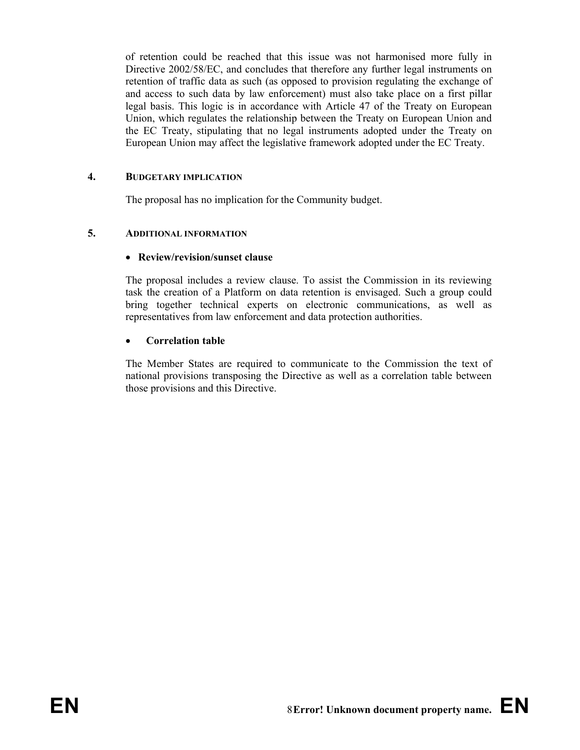of retention could be reached that this issue was not harmonised more fully in Directive 2002/58/EC, and concludes that therefore any further legal instruments on retention of traffic data as such (as opposed to provision regulating the exchange of and access to such data by law enforcement) must also take place on a first pillar legal basis. This logic is in accordance with Article 47 of the Treaty on European Union, which regulates the relationship between the Treaty on European Union and the EC Treaty, stipulating that no legal instruments adopted under the Treaty on European Union may affect the legislative framework adopted under the EC Treaty.

# **4. BUDGETARY IMPLICATION**

The proposal has no implication for the Community budget.

# **5. ADDITIONAL INFORMATION**

# • **Review/revision/sunset clause**

The proposal includes a review clause. To assist the Commission in its reviewing task the creation of a Platform on data retention is envisaged. Such a group could bring together technical experts on electronic communications, as well as representatives from law enforcement and data protection authorities.

# **Correlation table**

The Member States are required to communicate to the Commission the text of national provisions transposing the Directive as well as a correlation table between those provisions and this Directive.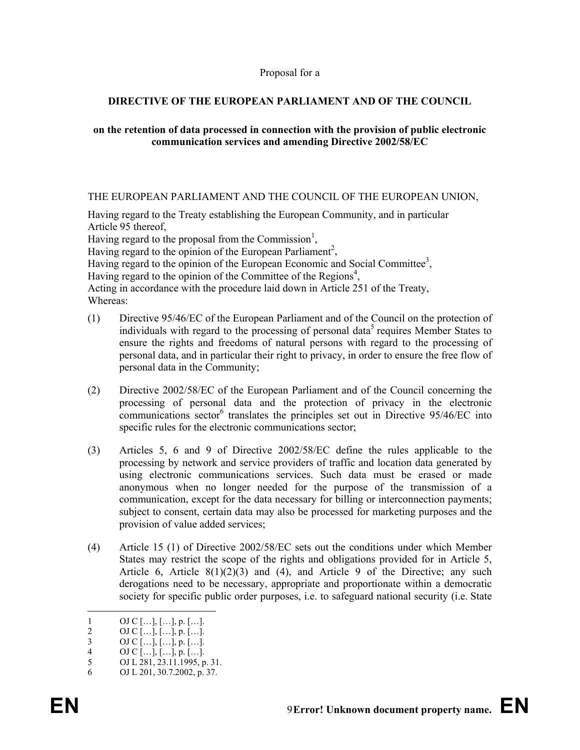#### Proposal for a

# **DIRECTIVE OF THE EUROPEAN PARLIAMENT AND OF THE COUNCIL**

#### **on the retention of data processed in connection with the provision of public electronic communication services and amending Directive 2002/58/EC**

#### THE EUROPEAN PARLIAMENT AND THE COUNCIL OF THE EUROPEAN UNION,

Having regard to the Treaty establishing the European Community, and in particular Article 95 thereof,

Having regard to the proposal from the Commission<sup>1</sup>,

Having regard to the opinion of the European Parliament<sup>2</sup>,

Having regard to the opinion of the European Economic and Social Committee<sup>3</sup>,

Having regard to the opinion of the Committee of the Regions<sup>4</sup>,

Acting in accordance with the procedure laid down in Article 251 of the Treaty, Whereas:

- (1) Directive 95/46/EC of the European Parliament and of the Council on the protection of individuals with regard to the processing of personal data<sup>5</sup> requires Member States to ensure the rights and freedoms of natural persons with regard to the processing of personal data, and in particular their right to privacy, in order to ensure the free flow of personal data in the Community;
- (2) Directive 2002/58/EC of the European Parliament and of the Council concerning the processing of personal data and the protection of privacy in the electronic communications sector<sup>6</sup> translates the principles set out in Directive 95/46/EC into specific rules for the electronic communications sector;
- (3) Articles 5, 6 and 9 of Directive 2002/58/EC define the rules applicable to the processing by network and service providers of traffic and location data generated by using electronic communications services. Such data must be erased or made anonymous when no longer needed for the purpose of the transmission of a communication, except for the data necessary for billing or interconnection payments; subject to consent, certain data may also be processed for marketing purposes and the provision of value added services;
- (4) Article 15 (1) of Directive 2002/58/EC sets out the conditions under which Member States may restrict the scope of the rights and obligations provided for in Article 5, Article 6, Article  $8(1)(2)(3)$  and  $(4)$ , and Article 9 of the Directive; any such derogations need to be necessary, appropriate and proportionate within a democratic society for specific public order purposes, i.e. to safeguard national security (i.e. State

-

<sup>1</sup> OJ C […], […], p. […].<br>2 OJ C […], […], p. […].

<sup>2</sup> OJ C […], […], p. […].<br>3 OJ C […], […], p. […].

<sup>3</sup> OJ C […], […], p. […].<br>4 OJ C […], […], p. […].

<sup>4</sup> OJ C [...], [...], p. [...].<br>5 OJ L 281, 23.11.1995, p

OJ L 281, 23.11.1995, p. 31.

<sup>6</sup> OJ L 201, 30.7.2002, p. 37.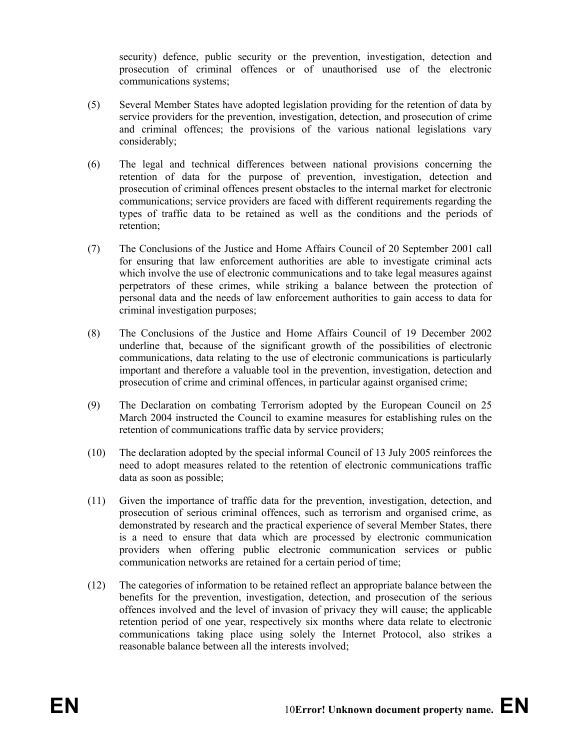security) defence, public security or the prevention, investigation, detection and prosecution of criminal offences or of unauthorised use of the electronic communications systems;

- (5) Several Member States have adopted legislation providing for the retention of data by service providers for the prevention, investigation, detection, and prosecution of crime and criminal offences; the provisions of the various national legislations vary considerably;
- (6) The legal and technical differences between national provisions concerning the retention of data for the purpose of prevention, investigation, detection and prosecution of criminal offences present obstacles to the internal market for electronic communications; service providers are faced with different requirements regarding the types of traffic data to be retained as well as the conditions and the periods of retention;
- (7) The Conclusions of the Justice and Home Affairs Council of 20 September 2001 call for ensuring that law enforcement authorities are able to investigate criminal acts which involve the use of electronic communications and to take legal measures against perpetrators of these crimes, while striking a balance between the protection of personal data and the needs of law enforcement authorities to gain access to data for criminal investigation purposes;
- (8) The Conclusions of the Justice and Home Affairs Council of 19 December 2002 underline that, because of the significant growth of the possibilities of electronic communications, data relating to the use of electronic communications is particularly important and therefore a valuable tool in the prevention, investigation, detection and prosecution of crime and criminal offences, in particular against organised crime;
- (9) The Declaration on combating Terrorism adopted by the European Council on 25 March 2004 instructed the Council to examine measures for establishing rules on the retention of communications traffic data by service providers;
- (10) The declaration adopted by the special informal Council of 13 July 2005 reinforces the need to adopt measures related to the retention of electronic communications traffic data as soon as possible;
- (11) Given the importance of traffic data for the prevention, investigation, detection, and prosecution of serious criminal offences, such as terrorism and organised crime, as demonstrated by research and the practical experience of several Member States, there is a need to ensure that data which are processed by electronic communication providers when offering public electronic communication services or public communication networks are retained for a certain period of time;
- (12) The categories of information to be retained reflect an appropriate balance between the benefits for the prevention, investigation, detection, and prosecution of the serious offences involved and the level of invasion of privacy they will cause; the applicable retention period of one year, respectively six months where data relate to electronic communications taking place using solely the Internet Protocol, also strikes a reasonable balance between all the interests involved;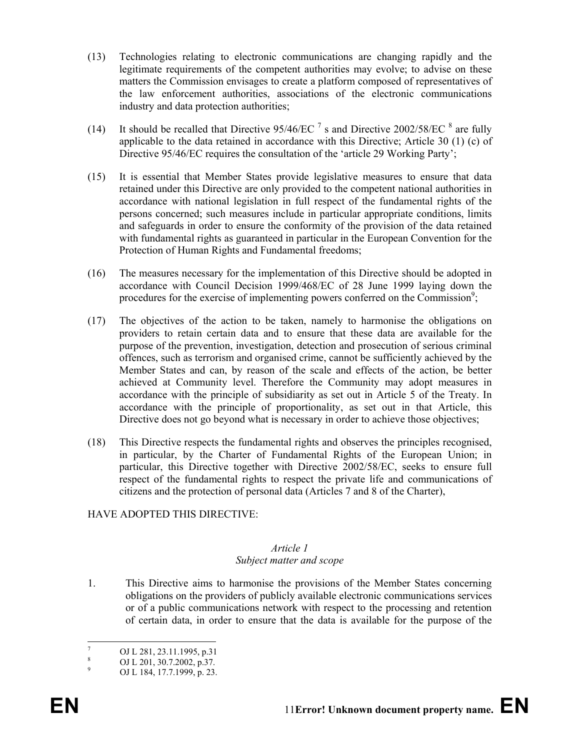- (13) Technologies relating to electronic communications are changing rapidly and the legitimate requirements of the competent authorities may evolve; to advise on these matters the Commission envisages to create a platform composed of representatives of the law enforcement authorities, associations of the electronic communications industry and data protection authorities;
- (14) It should be recalled that Directive  $95/46/EC$ <sup>7</sup> s and Directive 2002/58/EC  $^8$  are fully applicable to the data retained in accordance with this Directive; Article 30 (1) (c) of Directive 95/46/EC requires the consultation of the 'article 29 Working Party';
- (15) It is essential that Member States provide legislative measures to ensure that data retained under this Directive are only provided to the competent national authorities in accordance with national legislation in full respect of the fundamental rights of the persons concerned; such measures include in particular appropriate conditions, limits and safeguards in order to ensure the conformity of the provision of the data retained with fundamental rights as guaranteed in particular in the European Convention for the Protection of Human Rights and Fundamental freedoms;
- (16) The measures necessary for the implementation of this Directive should be adopted in accordance with Council Decision 1999/468/EC of 28 June 1999 laying down the procedures for the exercise of implementing powers conferred on the Commission<sup>9</sup>;
- (17) The objectives of the action to be taken, namely to harmonise the obligations on providers to retain certain data and to ensure that these data are available for the purpose of the prevention, investigation, detection and prosecution of serious criminal offences, such as terrorism and organised crime, cannot be sufficiently achieved by the Member States and can, by reason of the scale and effects of the action, be better achieved at Community level. Therefore the Community may adopt measures in accordance with the principle of subsidiarity as set out in Article 5 of the Treaty. In accordance with the principle of proportionality, as set out in that Article, this Directive does not go beyond what is necessary in order to achieve those objectives;
- (18) This Directive respects the fundamental rights and observes the principles recognised, in particular, by the Charter of Fundamental Rights of the European Union; in particular, this Directive together with Directive 2002/58/EC, seeks to ensure full respect of the fundamental rights to respect the private life and communications of citizens and the protection of personal data (Articles 7 and 8 of the Charter),

### HAVE ADOPTED THIS DIRECTIVE:

#### *Article 1 Subject matter and scope*

1. This Directive aims to harmonise the provisions of the Member States concerning obligations on the providers of publicly available electronic communications services or of a public communications network with respect to the processing and retention of certain data, in order to ensure that the data is available for the purpose of the

<sup>-&</sup>lt;br>7 OJ L 281, 23.11.1995, p.31

<sup>8</sup> OJ L 201, 30.7.2002, p.37.

<sup>9</sup> OJ L 184, 17.7.1999, p. 23.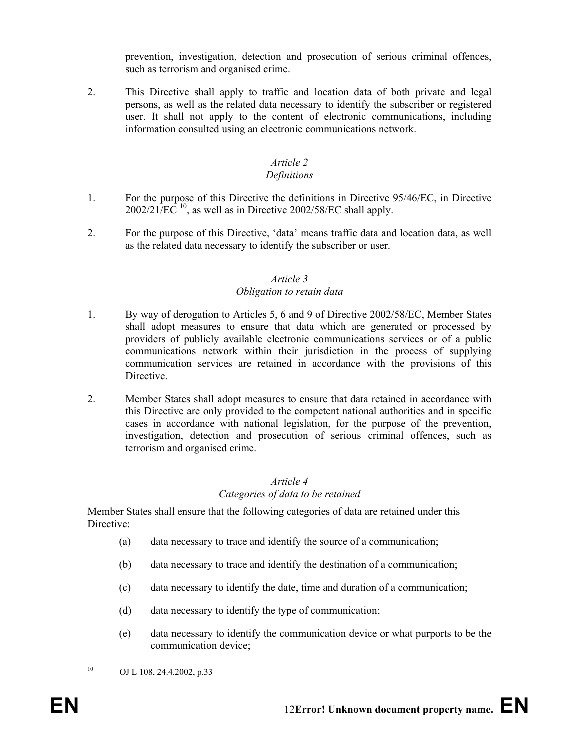prevention, investigation, detection and prosecution of serious criminal offences, such as terrorism and organised crime.

2. This Directive shall apply to traffic and location data of both private and legal persons, as well as the related data necessary to identify the subscriber or registered user. It shall not apply to the content of electronic communications, including information consulted using an electronic communications network.

### *Article 2*

### *Definitions*

- 1. For the purpose of this Directive the definitions in Directive 95/46/EC, in Directive  $2002/21/\text{EC}^{10}$ , as well as in Directive 2002/58/EC shall apply.
- 2. For the purpose of this Directive, 'data' means traffic data and location data, as well as the related data necessary to identify the subscriber or user.

# *Article 3 Obligation to retain data*

- 1. By way of derogation to Articles 5, 6 and 9 of Directive 2002/58/EC, Member States shall adopt measures to ensure that data which are generated or processed by providers of publicly available electronic communications services or of a public communications network within their jurisdiction in the process of supplying communication services are retained in accordance with the provisions of this **Directive**
- 2. Member States shall adopt measures to ensure that data retained in accordance with this Directive are only provided to the competent national authorities and in specific cases in accordance with national legislation, for the purpose of the prevention, investigation, detection and prosecution of serious criminal offences, such as terrorism and organised crime.

# *Article 4 Categories of data to be retained*

Member States shall ensure that the following categories of data are retained under this Directive:

- (a) data necessary to trace and identify the source of a communication;
- (b) data necessary to trace and identify the destination of a communication;
- (c) data necessary to identify the date, time and duration of a communication;
- (d) data necessary to identify the type of communication;
- (e) data necessary to identify the communication device or what purports to be the communication device;

 $10<sup>10</sup>$ 

OJ L 108, 24.4.2002, p.33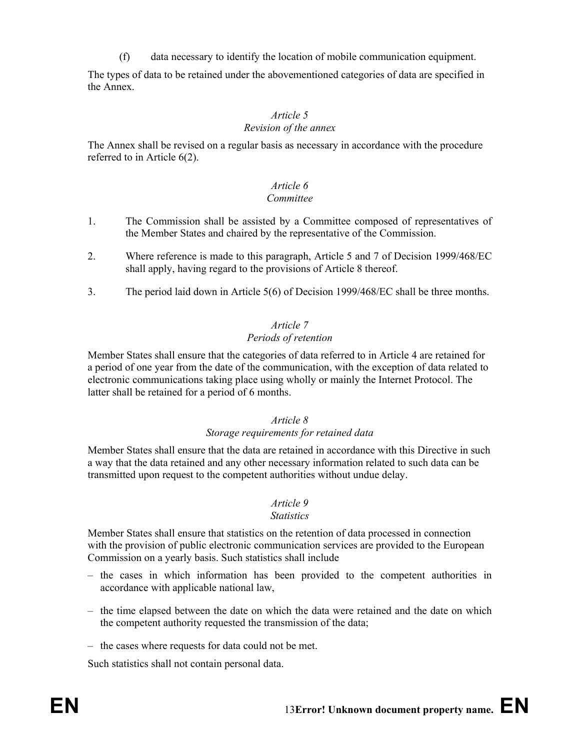(f) data necessary to identify the location of mobile communication equipment.

The types of data to be retained under the abovementioned categories of data are specified in the Annex.

# *Article 5*

# *Revision of the annex*

The Annex shall be revised on a regular basis as necessary in accordance with the procedure referred to in Article 6(2).

# *Article 6*

# *Committee*

- 1. The Commission shall be assisted by a Committee composed of representatives of the Member States and chaired by the representative of the Commission.
- 2. Where reference is made to this paragraph, Article 5 and 7 of Decision 1999/468/EC shall apply, having regard to the provisions of Article 8 thereof.
- 3. The period laid down in Article 5(6) of Decision 1999/468/EC shall be three months.

# *Article 7*

### *Periods of retention*

Member States shall ensure that the categories of data referred to in Article 4 are retained for a period of one year from the date of the communication, with the exception of data related to electronic communications taking place using wholly or mainly the Internet Protocol. The latter shall be retained for a period of 6 months.

# *Article 8*

### *Storage requirements for retained data*

Member States shall ensure that the data are retained in accordance with this Directive in such a way that the data retained and any other necessary information related to such data can be transmitted upon request to the competent authorities without undue delay.

### *Article 9*

#### *Statistics*

Member States shall ensure that statistics on the retention of data processed in connection with the provision of public electronic communication services are provided to the European Commission on a yearly basis. Such statistics shall include

- the cases in which information has been provided to the competent authorities in accordance with applicable national law,
- the time elapsed between the date on which the data were retained and the date on which the competent authority requested the transmission of the data;
- the cases where requests for data could not be met.

Such statistics shall not contain personal data.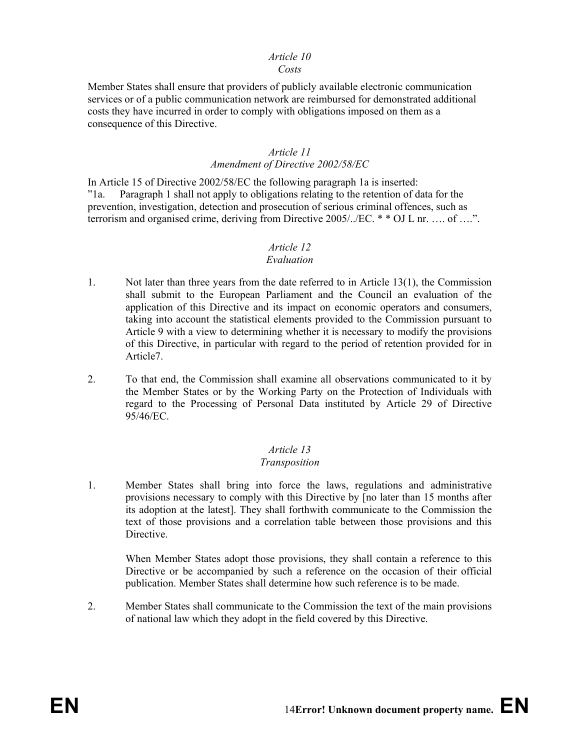#### *Article 10 Costs*

#### Member States shall ensure that providers of publicly available electronic communication services or of a public communication network are reimbursed for demonstrated additional costs they have incurred in order to comply with obligations imposed on them as a consequence of this Directive.

#### *Article 11 Amendment of Directive 2002/58/EC*

In Article 15 of Directive 2002/58/EC the following paragraph 1a is inserted: "1a. Paragraph 1 shall not apply to obligations relating to the retention of data for the prevention, investigation, detection and prosecution of serious criminal offences, such as terrorism and organised crime, deriving from Directive 2005/../EC. \* \* OJ L nr. …. of ….".

# *Article 12*

#### *Evaluation*

- 1. Not later than three years from the date referred to in Article 13(1), the Commission shall submit to the European Parliament and the Council an evaluation of the application of this Directive and its impact on economic operators and consumers, taking into account the statistical elements provided to the Commission pursuant to Article 9 with a view to determining whether it is necessary to modify the provisions of this Directive, in particular with regard to the period of retention provided for in Article7.
- 2. To that end, the Commission shall examine all observations communicated to it by the Member States or by the Working Party on the Protection of Individuals with regard to the Processing of Personal Data instituted by Article 29 of Directive 95/46/EC.

### *Article 13*

#### *Transposition*

1. Member States shall bring into force the laws, regulations and administrative provisions necessary to comply with this Directive by [no later than 15 months after its adoption at the latest]. They shall forthwith communicate to the Commission the text of those provisions and a correlation table between those provisions and this Directive.

When Member States adopt those provisions, they shall contain a reference to this Directive or be accompanied by such a reference on the occasion of their official publication. Member States shall determine how such reference is to be made.

2. Member States shall communicate to the Commission the text of the main provisions of national law which they adopt in the field covered by this Directive.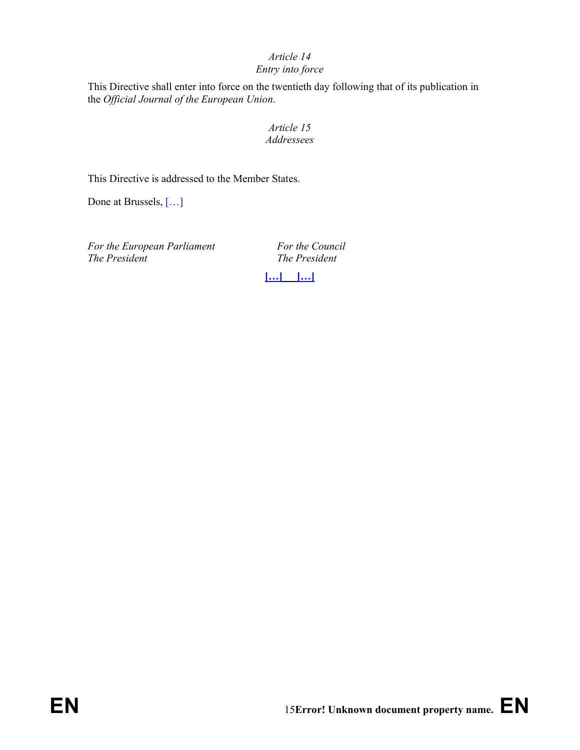# *Article 14*

# *Entry into force*

This Directive shall enter into force on the twentieth day following that of its publication in the *Official Journal of the European Union*.

# *Article 15 Addressees*

This Directive is addressed to the Member States.

Done at Brussels, […]

For the European Parliament For the Council *The President The President* 

**[…] […]**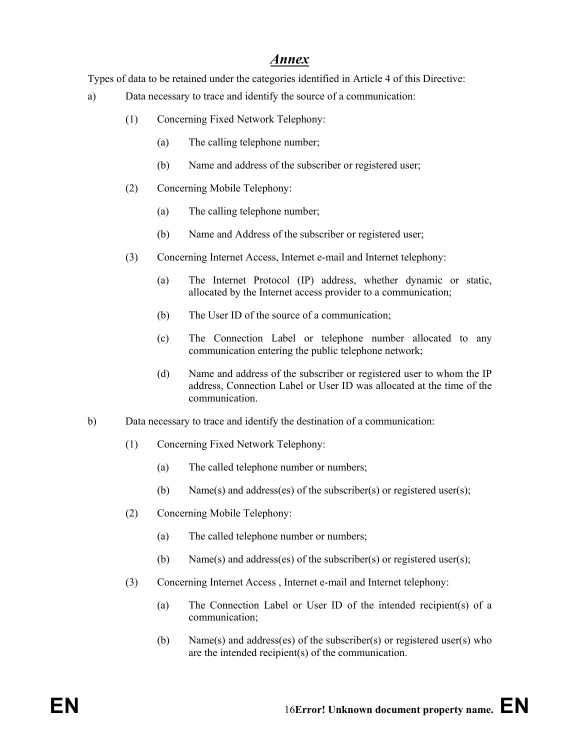# *Annex*

Types of data to be retained under the categories identified in Article 4 of this Directive:

- a) Data necessary to trace and identify the source of a communication:
	- (1) Concerning Fixed Network Telephony:
		- (a) The calling telephone number;
		- (b) Name and address of the subscriber or registered user;
	- (2) Concerning Mobile Telephony:
		- (a) The calling telephone number;
		- (b) Name and Address of the subscriber or registered user;
	- (3) Concerning Internet Access, Internet e-mail and Internet telephony:
		- (a) The Internet Protocol (IP) address, whether dynamic or static, allocated by the Internet access provider to a communication;
		- (b) The User ID of the source of a communication;
		- (c) The Connection Label or telephone number allocated to any communication entering the public telephone network;
		- (d) Name and address of the subscriber or registered user to whom the IP address, Connection Label or User ID was allocated at the time of the communication.
- b) Data necessary to trace and identify the destination of a communication:
	- (1) Concerning Fixed Network Telephony:
		- (a) The called telephone number or numbers;
		- (b) Name(s) and address(es) of the subscriber(s) or registered user(s);
	- (2) Concerning Mobile Telephony:
		- (a) The called telephone number or numbers;
		- (b) Name(s) and address(es) of the subscriber(s) or registered user(s);
	- (3) Concerning Internet Access , Internet e-mail and Internet telephony:
		- (a) The Connection Label or User ID of the intended recipient(s) of a communication;
		- (b) Name(s) and address(es) of the subscriber(s) or registered user(s) who are the intended recipient(s) of the communication.